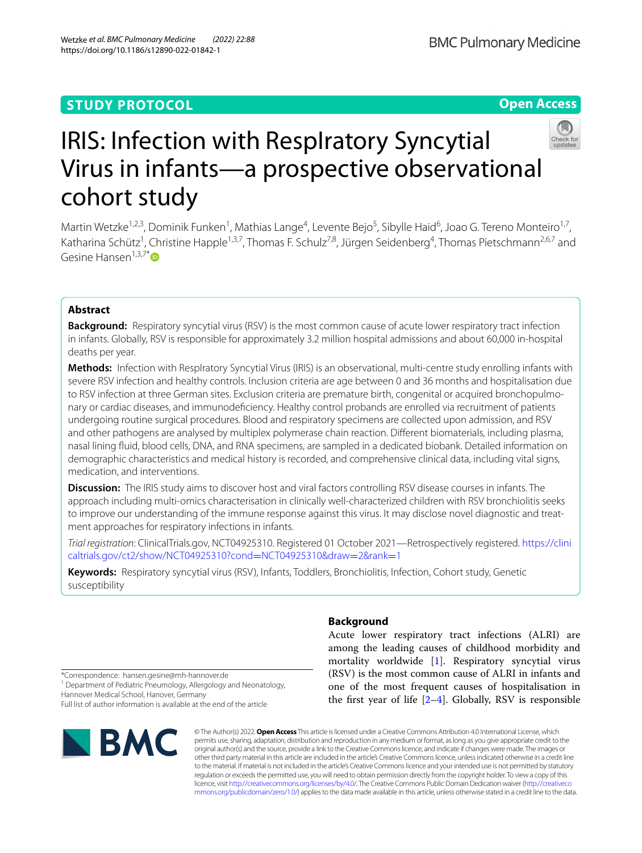Wetzke *et al. BMC Pulmonary Medicine (2022) 22:88* 

# **Open Access**



# IRIS: Infection with RespIratory Syncytial Virus in infants—a prospective observational cohort study

Martin Wetzke<sup>1,2,3</sup>, Dominik Funken<sup>1</sup>, Mathias Lange<sup>4</sup>, Levente Bejo<sup>5</sup>, Sibylle Haid<sup>6</sup>, Joao G. Tereno Monteiro<sup>1,7</sup>, Katharina Schütz<sup>1</sup>, Christine Happle<sup>1,3,7</sup>, Thomas F. Schulz<sup>7,8</sup>, Jürgen Seidenberg<sup>4</sup>, Thomas Pietschmann<sup>2,6,7</sup> and Gesine Hansen $1,3,7$ [\\*](http://orcid.org/0000-0001-5185-9454)

# **Abstract**

**Background:** Respiratory syncytial virus (RSV) is the most common cause of acute lower respiratory tract infection in infants. Globally, RSV is responsible for approximately 3.2 million hospital admissions and about 60,000 in-hospital deaths per year.

**Methods:** Infection with RespIratory Syncytial Virus (IRIS) is an observational, multi-centre study enrolling infants with severe RSV infection and healthy controls. Inclusion criteria are age between 0 and 36 months and hospitalisation due to RSV infection at three German sites. Exclusion criteria are premature birth, congenital or acquired bronchopulmonary or cardiac diseases, and immunodefciency. Healthy control probands are enrolled via recruitment of patients undergoing routine surgical procedures. Blood and respiratory specimens are collected upon admission, and RSV and other pathogens are analysed by multiplex polymerase chain reaction. Diferent biomaterials, including plasma, nasal lining fuid, blood cells, DNA, and RNA specimens, are sampled in a dedicated biobank. Detailed information on demographic characteristics and medical history is recorded, and comprehensive clinical data, including vital signs, medication, and interventions.

**Discussion:** The IRIS study aims to discover host and viral factors controlling RSV disease courses in infants. The approach including multi-omics characterisation in clinically well-characterized children with RSV bronchiolitis seeks to improve our understanding of the immune response against this virus. It may disclose novel diagnostic and treatment approaches for respiratory infections in infants.

*Trial registration*: ClinicalTrials.gov, NCT04925310. Registered 01 October 2021—Retrospectively registered. [https://clini](https://clinicaltrials.gov/ct2/show/NCT04925310?cond=NCT04925310&draw=2&rank=1) [caltrials.gov/ct2/show/NCT04925310?cond](https://clinicaltrials.gov/ct2/show/NCT04925310?cond=NCT04925310&draw=2&rank=1)=NCT04925310&draw=2&rank=1

**Keywords:** Respiratory syncytial virus (RSV), Infants, Toddlers, Bronchiolitis, Infection, Cohort study, Genetic susceptibility

# **Background**

Acute lower respiratory tract infections (ALRI) are among the leading causes of childhood morbidity and mortality worldwide [\[1](#page-5-0)]. Respiratory syncytial virus (RSV) is the most common cause of ALRI in infants and one of the most frequent causes of hospitalisation in the first year of life  $[2-4]$  $[2-4]$  $[2-4]$ . Globally, RSV is responsible

\*Correspondence: hansen.gesine@mh-hannover.de

<sup>1</sup> Department of Pediatric Pneumology, Allergology and Neonatology, Hannover Medical School, Hanover, Germany

Full list of author information is available at the end of the article



© The Author(s) 2022. **Open Access** This article is licensed under a Creative Commons Attribution 4.0 International License, which permits use, sharing, adaptation, distribution and reproduction in any medium or format, as long as you give appropriate credit to the original author(s) and the source, provide a link to the Creative Commons licence, and indicate if changes were made. The images or other third party material in this article are included in the article's Creative Commons licence, unless indicated otherwise in a credit line to the material. If material is not included in the article's Creative Commons licence and your intended use is not permitted by statutory regulation or exceeds the permitted use, you will need to obtain permission directly from the copyright holder. To view a copy of this licence, visit [http://creativecommons.org/licenses/by/4.0/.](http://creativecommons.org/licenses/by/4.0/) The Creative Commons Public Domain Dedication waiver ([http://creativeco](http://creativecommons.org/publicdomain/zero/1.0/) [mmons.org/publicdomain/zero/1.0/](http://creativecommons.org/publicdomain/zero/1.0/)) applies to the data made available in this article, unless otherwise stated in a credit line to the data.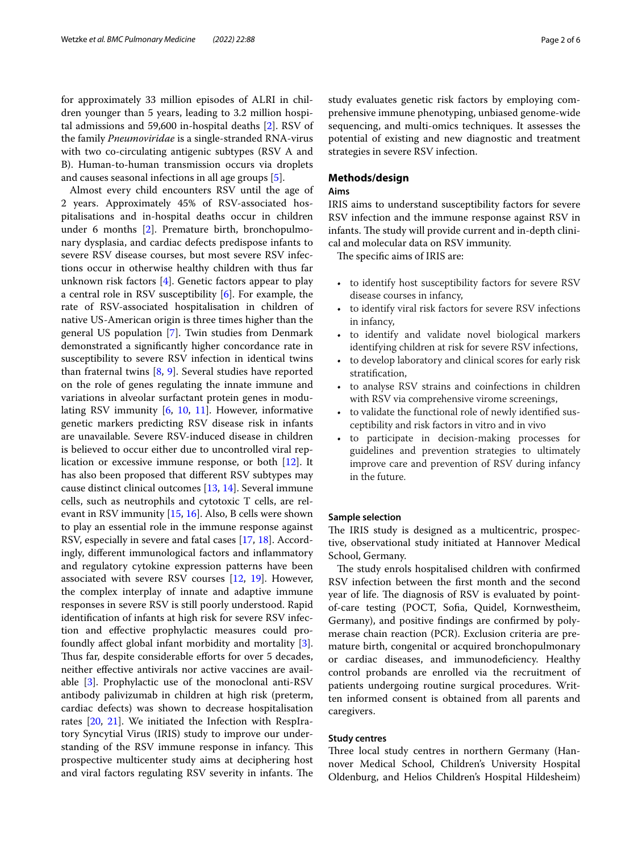for approximately 33 million episodes of ALRI in children younger than 5 years, leading to 3.2 million hospital admissions and 59,600 in-hospital deaths [[2\]](#page-5-1). RSV of the family *Pneumoviridae* is a single-stranded RNA-virus with two co-circulating antigenic subtypes (RSV A and B). Human-to-human transmission occurs via droplets and causes seasonal infections in all age groups [\[5](#page-5-3)].

Almost every child encounters RSV until the age of 2 years. Approximately 45% of RSV-associated hospitalisations and in-hospital deaths occur in children under 6 months [\[2](#page-5-1)]. Premature birth, bronchopulmonary dysplasia, and cardiac defects predispose infants to severe RSV disease courses, but most severe RSV infections occur in otherwise healthy children with thus far unknown risk factors [\[4](#page-5-2)]. Genetic factors appear to play a central role in RSV susceptibility [[6](#page-5-4)]. For example, the rate of RSV-associated hospitalisation in children of native US-American origin is three times higher than the general US population [[7](#page-5-5)]. Twin studies from Denmark demonstrated a signifcantly higher concordance rate in susceptibility to severe RSV infection in identical twins than fraternal twins [\[8,](#page-5-6) [9](#page-5-7)]. Several studies have reported on the role of genes regulating the innate immune and variations in alveolar surfactant protein genes in modulating RSV immunity [[6](#page-5-4), [10,](#page-5-8) [11\]](#page-5-9). However, informative genetic markers predicting RSV disease risk in infants are unavailable. Severe RSV-induced disease in children is believed to occur either due to uncontrolled viral replication or excessive immune response, or both [[12\]](#page-5-10). It has also been proposed that diferent RSV subtypes may cause distinct clinical outcomes [\[13,](#page-5-11) [14](#page-5-12)]. Several immune cells, such as neutrophils and cytotoxic T cells, are relevant in RSV immunity [\[15,](#page-5-13) [16](#page-5-14)]. Also, B cells were shown to play an essential role in the immune response against RSV, especially in severe and fatal cases [[17,](#page-5-15) [18](#page-5-16)]. Accordingly, diferent immunological factors and infammatory and regulatory cytokine expression patterns have been associated with severe RSV courses [\[12,](#page-5-10) [19](#page-5-17)]. However, the complex interplay of innate and adaptive immune responses in severe RSV is still poorly understood. Rapid identifcation of infants at high risk for severe RSV infection and efective prophylactic measures could profoundly afect global infant morbidity and mortality [\[3](#page-5-18)]. Thus far, despite considerable efforts for over 5 decades, neither efective antivirals nor active vaccines are available [[3\]](#page-5-18). Prophylactic use of the monoclonal anti-RSV antibody palivizumab in children at high risk (preterm, cardiac defects) was shown to decrease hospitalisation rates [[20](#page-5-19), [21\]](#page-5-20). We initiated the Infection with RespIratory Syncytial Virus (IRIS) study to improve our understanding of the RSV immune response in infancy. This prospective multicenter study aims at deciphering host and viral factors regulating RSV severity in infants. The study evaluates genetic risk factors by employing comprehensive immune phenotyping, unbiased genome-wide sequencing, and multi-omics techniques. It assesses the potential of existing and new diagnostic and treatment strategies in severe RSV infection.

#### **Methods/design**

# **Aims**

IRIS aims to understand susceptibility factors for severe RSV infection and the immune response against RSV in infants. The study will provide current and in-depth clinical and molecular data on RSV immunity.

The specific aims of IRIS are:

- to identify host susceptibility factors for severe RSV disease courses in infancy,
- to identify viral risk factors for severe RSV infections in infancy,
- to identify and validate novel biological markers identifying children at risk for severe RSV infections,
- to develop laboratory and clinical scores for early risk stratifcation,
- to analyse RSV strains and coinfections in children with RSV via comprehensive virome screenings,
- to validate the functional role of newly identifed susceptibility and risk factors in vitro and in vivo
- to participate in decision-making processes for guidelines and prevention strategies to ultimately improve care and prevention of RSV during infancy in the future.

#### **Sample selection**

The IRIS study is designed as a multicentric, prospective, observational study initiated at Hannover Medical School, Germany.

The study enrols hospitalised children with confirmed RSV infection between the frst month and the second year of life. The diagnosis of RSV is evaluated by pointof-care testing (POCT, Sofa, Quidel, Kornwestheim, Germany), and positive fndings are confrmed by polymerase chain reaction (PCR). Exclusion criteria are premature birth, congenital or acquired bronchopulmonary or cardiac diseases, and immunodefciency. Healthy control probands are enrolled via the recruitment of patients undergoing routine surgical procedures. Written informed consent is obtained from all parents and caregivers.

#### **Study centres**

Three local study centres in northern Germany (Hannover Medical School, Children's University Hospital Oldenburg, and Helios Children's Hospital Hildesheim)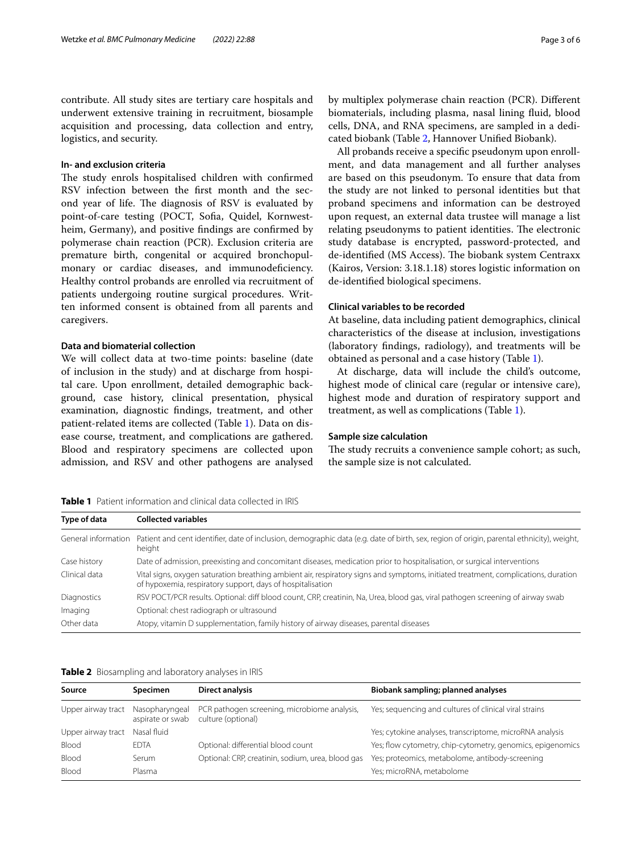contribute. All study sites are tertiary care hospitals and underwent extensive training in recruitment, biosample acquisition and processing, data collection and entry, logistics, and security.

## **In‑ and exclusion criteria**

The study enrols hospitalised children with confirmed RSV infection between the frst month and the second year of life. The diagnosis of RSV is evaluated by point-of-care testing (POCT, Sofa, Quidel, Kornwestheim, Germany), and positive fndings are confrmed by polymerase chain reaction (PCR). Exclusion criteria are premature birth, congenital or acquired bronchopulmonary or cardiac diseases, and immunodeficiency. Healthy control probands are enrolled via recruitment of patients undergoing routine surgical procedures. Written informed consent is obtained from all parents and caregivers.

# **Data and biomaterial collection**

We will collect data at two-time points: baseline (date of inclusion in the study) and at discharge from hospital care. Upon enrollment, detailed demographic background, case history, clinical presentation, physical examination, diagnostic fndings, treatment, and other patient-related items are collected (Table [1\)](#page-2-0). Data on disease course, treatment, and complications are gathered. Blood and respiratory specimens are collected upon admission, and RSV and other pathogens are analysed by multiplex polymerase chain reaction (PCR). Diferent biomaterials, including plasma, nasal lining fuid, blood cells, DNA, and RNA specimens, are sampled in a dedicated biobank (Table [2](#page-2-1), Hannover Unifed Biobank).

All probands receive a specifc pseudonym upon enrollment, and data management and all further analyses are based on this pseudonym. To ensure that data from the study are not linked to personal identities but that proband specimens and information can be destroyed upon request, an external data trustee will manage a list relating pseudonyms to patient identities. The electronic study database is encrypted, password-protected, and de-identified (MS Access). The biobank system Centraxx (Kairos, Version: 3.18.1.18) stores logistic information on de-identifed biological specimens.

# **Clinical variables to be recorded**

At baseline, data including patient demographics, clinical characteristics of the disease at inclusion, investigations (laboratory fndings, radiology), and treatments will be obtained as personal and a case history (Table [1\)](#page-2-0).

At discharge, data will include the child's outcome, highest mode of clinical care (regular or intensive care), highest mode and duration of respiratory support and treatment, as well as complications (Table [1](#page-2-0)).

#### **Sample size calculation**

The study recruits a convenience sample cohort; as such, the sample size is not calculated.

<span id="page-2-0"></span>

|  |  |  | <b>Table 1</b> Patient information and clinical data collected in IRIS |
|--|--|--|------------------------------------------------------------------------|
|--|--|--|------------------------------------------------------------------------|

| Type of data        | <b>Collected variables</b>                                                                                                                                                                       |  |  |
|---------------------|--------------------------------------------------------------------------------------------------------------------------------------------------------------------------------------------------|--|--|
| General information | Patient and cent identifier, date of inclusion, demographic data (e.g. date of birth, sex, region of origin, parental ethnicity), weight,<br>height                                              |  |  |
| Case history        | Date of admission, preexisting and concomitant diseases, medication prior to hospitalisation, or surgical interventions                                                                          |  |  |
| Clinical data       | Vital signs, oxygen saturation breathing ambient air, respiratory signs and symptoms, initiated treatment, complications, duration<br>of hypoxemia, respiratory support, days of hospitalisation |  |  |
| Diagnostics         | RSV POCT/PCR results. Optional: diff blood count, CRP, creatinin, Na, Urea, blood gas, viral pathogen screening of airway swab                                                                   |  |  |
| Imaging             | Optional: chest radiograph or ultrasound                                                                                                                                                         |  |  |
| Other data          | Atopy, vitamin D supplementation, family history of airway diseases, parental diseases                                                                                                           |  |  |

<span id="page-2-1"></span>**Table 2** Biosampling and laboratory analyses in IRIS

| Source                            | <b>Specimen</b>  | <b>Direct analysis</b>                                             | Biobank sampling; planned analyses                         |
|-----------------------------------|------------------|--------------------------------------------------------------------|------------------------------------------------------------|
| Upper airway tract Nasopharyngeal | aspirate or swab | PCR pathogen screening, microbiome analysis,<br>culture (optional) | Yes; sequencing and cultures of clinical viral strains     |
| Upper airway tract                | Nasal fluid      |                                                                    | Yes; cytokine analyses, transcriptome, microRNA analysis   |
| Blood                             | <b>EDTA</b>      | Optional: differential blood count                                 | Yes; flow cytometry, chip-cytometry, genomics, epigenomics |
| Blood                             | Serum            | Optional: CRP, creatinin, sodium, urea, blood gas                  | Yes; proteomics, metabolome, antibody-screening            |
| Blood                             | Plasma           |                                                                    | Yes; microRNA, metabolome                                  |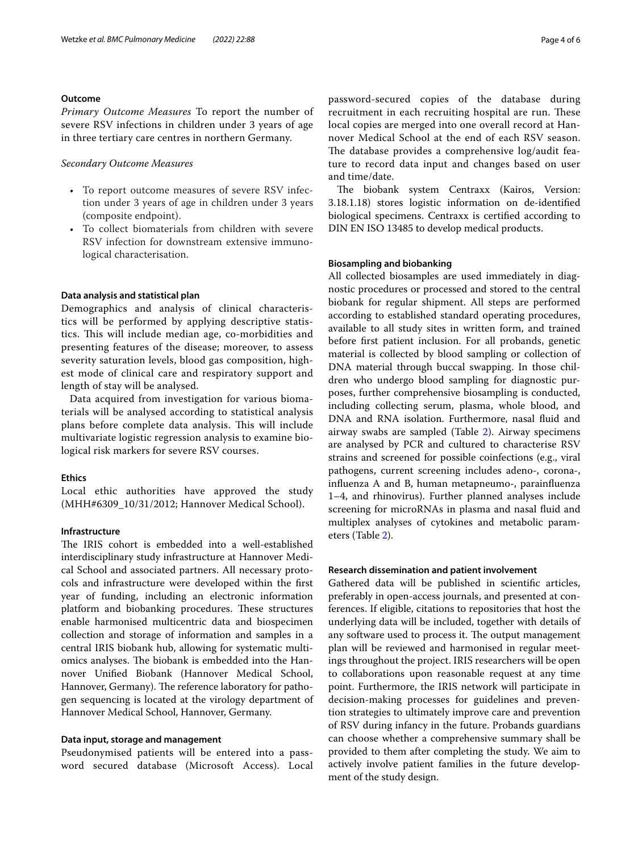#### **Outcome**

*Primary Outcome Measures* To report the number of severe RSV infections in children under 3 years of age in three tertiary care centres in northern Germany.

#### *Secondary Outcome Measures*

- To report outcome measures of severe RSV infection under 3 years of age in children under 3 years (composite endpoint).
- To collect biomaterials from children with severe RSV infection for downstream extensive immunological characterisation.

#### **Data analysis and statistical plan**

Demographics and analysis of clinical characteristics will be performed by applying descriptive statistics. This will include median age, co-morbidities and presenting features of the disease; moreover, to assess severity saturation levels, blood gas composition, highest mode of clinical care and respiratory support and length of stay will be analysed.

Data acquired from investigation for various biomaterials will be analysed according to statistical analysis plans before complete data analysis. This will include multivariate logistic regression analysis to examine biological risk markers for severe RSV courses.

# **Ethics**

Local ethic authorities have approved the study (MHH#6309\_10/31/2012; Hannover Medical School).

# **Infrastructure**

The IRIS cohort is embedded into a well-established interdisciplinary study infrastructure at Hannover Medical School and associated partners. All necessary protocols and infrastructure were developed within the frst year of funding, including an electronic information platform and biobanking procedures. These structures enable harmonised multicentric data and biospecimen collection and storage of information and samples in a central IRIS biobank hub, allowing for systematic multiomics analyses. The biobank is embedded into the Hannover Unifed Biobank (Hannover Medical School, Hannover, Germany). The reference laboratory for pathogen sequencing is located at the virology department of Hannover Medical School, Hannover, Germany.

# **Data input, storage and management**

Pseudonymised patients will be entered into a password secured database (Microsoft Access). Local password-secured copies of the database during recruitment in each recruiting hospital are run. These local copies are merged into one overall record at Hannover Medical School at the end of each RSV season. The database provides a comprehensive log/audit feature to record data input and changes based on user and time/date.

The biobank system Centraxx (Kairos, Version: 3.18.1.18) stores logistic information on de-identifed biological specimens. Centraxx is certifed according to DIN EN ISO 13485 to develop medical products.

#### **Biosampling and biobanking**

All collected biosamples are used immediately in diagnostic procedures or processed and stored to the central biobank for regular shipment. All steps are performed according to established standard operating procedures, available to all study sites in written form, and trained before frst patient inclusion. For all probands, genetic material is collected by blood sampling or collection of DNA material through buccal swapping. In those children who undergo blood sampling for diagnostic purposes, further comprehensive biosampling is conducted, including collecting serum, plasma, whole blood, and DNA and RNA isolation. Furthermore, nasal fuid and airway swabs are sampled (Table [2\)](#page-2-1). Airway specimens are analysed by PCR and cultured to characterise RSV strains and screened for possible coinfections (e.g., viral pathogens, current screening includes adeno-, corona-, infuenza A and B, human metapneumo-, parainfuenza 1–4, and rhinovirus). Further planned analyses include screening for microRNAs in plasma and nasal fuid and multiplex analyses of cytokines and metabolic parameters (Table [2\)](#page-2-1).

#### **Research dissemination and patient involvement**

Gathered data will be published in scientifc articles, preferably in open-access journals, and presented at conferences. If eligible, citations to repositories that host the underlying data will be included, together with details of any software used to process it. The output management plan will be reviewed and harmonised in regular meetings throughout the project. IRIS researchers will be open to collaborations upon reasonable request at any time point. Furthermore, the IRIS network will participate in decision-making processes for guidelines and prevention strategies to ultimately improve care and prevention of RSV during infancy in the future. Probands guardians can choose whether a comprehensive summary shall be provided to them after completing the study. We aim to actively involve patient families in the future development of the study design.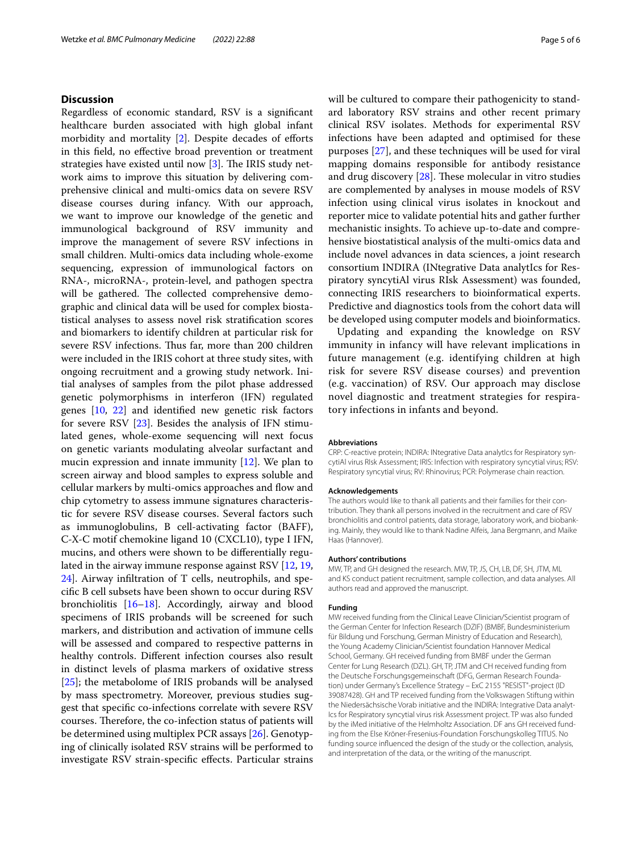# **Discussion**

Regardless of economic standard, RSV is a signifcant healthcare burden associated with high global infant morbidity and mortality  $[2]$  $[2]$ . Despite decades of efforts in this feld, no efective broad prevention or treatment strategies have existed until now  $[3]$  $[3]$ . The IRIS study network aims to improve this situation by delivering comprehensive clinical and multi-omics data on severe RSV disease courses during infancy. With our approach, we want to improve our knowledge of the genetic and immunological background of RSV immunity and improve the management of severe RSV infections in small children. Multi-omics data including whole-exome sequencing, expression of immunological factors on RNA-, microRNA-, protein-level, and pathogen spectra will be gathered. The collected comprehensive demographic and clinical data will be used for complex biostatistical analyses to assess novel risk stratifcation scores and biomarkers to identify children at particular risk for severe RSV infections. Thus far, more than 200 children were included in the IRIS cohort at three study sites, with ongoing recruitment and a growing study network. Initial analyses of samples from the pilot phase addressed genetic polymorphisms in interferon (IFN) regulated genes [[10,](#page-5-8) [22](#page-5-21)] and identifed new genetic risk factors for severe RSV [[23](#page-5-22)]. Besides the analysis of IFN stimulated genes, whole-exome sequencing will next focus on genetic variants modulating alveolar surfactant and mucin expression and innate immunity [[12\]](#page-5-10). We plan to screen airway and blood samples to express soluble and cellular markers by multi-omics approaches and flow and chip cytometry to assess immune signatures characteristic for severe RSV disease courses. Several factors such as immunoglobulins, B cell-activating factor (BAFF), C-X-C motif chemokine ligand 10 (CXCL10), type I IFN, mucins, and others were shown to be diferentially regulated in the airway immune response against RSV [\[12,](#page-5-10) [19](#page-5-17), [24\]](#page-5-23). Airway infltration of T cells, neutrophils, and specifc B cell subsets have been shown to occur during RSV bronchiolitis [[16–](#page-5-14)[18\]](#page-5-16). Accordingly, airway and blood specimens of IRIS probands will be screened for such markers, and distribution and activation of immune cells will be assessed and compared to respective patterns in healthy controls. Diferent infection courses also result in distinct levels of plasma markers of oxidative stress [[25\]](#page-5-24); the metabolome of IRIS probands will be analysed by mass spectrometry. Moreover, previous studies suggest that specifc co-infections correlate with severe RSV courses. Therefore, the co-infection status of patients will be determined using multiplex PCR assays [[26\]](#page-5-25). Genotyping of clinically isolated RSV strains will be performed to investigate RSV strain-specifc efects. Particular strains will be cultured to compare their pathogenicity to standard laboratory RSV strains and other recent primary clinical RSV isolates. Methods for experimental RSV infections have been adapted and optimised for these purposes [[27\]](#page-5-26), and these techniques will be used for viral mapping domains responsible for antibody resistance and drug discovery  $[28]$ . These molecular in vitro studies are complemented by analyses in mouse models of RSV infection using clinical virus isolates in knockout and reporter mice to validate potential hits and gather further mechanistic insights. To achieve up-to-date and comprehensive biostatistical analysis of the multi-omics data and include novel advances in data sciences, a joint research consortium INDIRA (INtegrative Data analytIcs for Respiratory syncytiAl virus RIsk Assessment) was founded, connecting IRIS researchers to bioinformatical experts. Predictive and diagnostics tools from the cohort data will be developed using computer models and bioinformatics.

Updating and expanding the knowledge on RSV immunity in infancy will have relevant implications in future management (e.g. identifying children at high risk for severe RSV disease courses) and prevention (e.g. vaccination) of RSV. Our approach may disclose novel diagnostic and treatment strategies for respiratory infections in infants and beyond.

#### **Abbreviations**

CRP: C-reactive protein; INDIRA: INtegrative Data analytIcs for Respiratory syncytiAl virus RIsk Assessment; IRIS: Infection with respiratory syncytial virus; RSV: Respiratory syncytial virus; RV: Rhinovirus; PCR: Polymerase chain reaction.

#### **Acknowledgements**

The authors would like to thank all patients and their families for their contribution. They thank all persons involved in the recruitment and care of RSV bronchiolitis and control patients, data storage, laboratory work, and biobanking. Mainly, they would like to thank Nadine Alfeis, Jana Bergmann, and Maike Haas (Hannover).

#### **Authors' contributions**

MW, TP, and GH designed the research. MW, TP, JS, CH, LB, DF, SH, JTM, ML and KS conduct patient recruitment, sample collection, and data analyses. All authors read and approved the manuscript.

#### **Funding**

MW received funding from the Clinical Leave Clinician/Scientist program of the German Center for Infection Research (DZIF) (BMBF, Bundesministerium für Bildung und Forschung, German Ministry of Education and Research), the Young Academy Clinician/Scientist foundation Hannover Medical School, Germany. GH received funding from BMBF under the German Center for Lung Research (DZL). GH, TP, JTM and CH received funding from the Deutsche Forschungsgemeinschaft (DFG, German Research Foundation) under Germany's Excellence Strategy – ExC 2155 "RESIST"-project (ID 39087428). GH and TP received funding from the Volkswagen Stiftung within the Niedersächsische Vorab initiative and the INDIRA: Integrative Data analyt-Ics for Respiratory syncytial virus risk Assessment project. TP was also funded by the iMed initiative of the Helmholtz Association. DF ans GH received funding from the Else Kröner-Fresenius-Foundation Forschungskolleg TITUS. No funding source infuenced the design of the study or the collection, analysis, and interpretation of the data, or the writing of the manuscript.